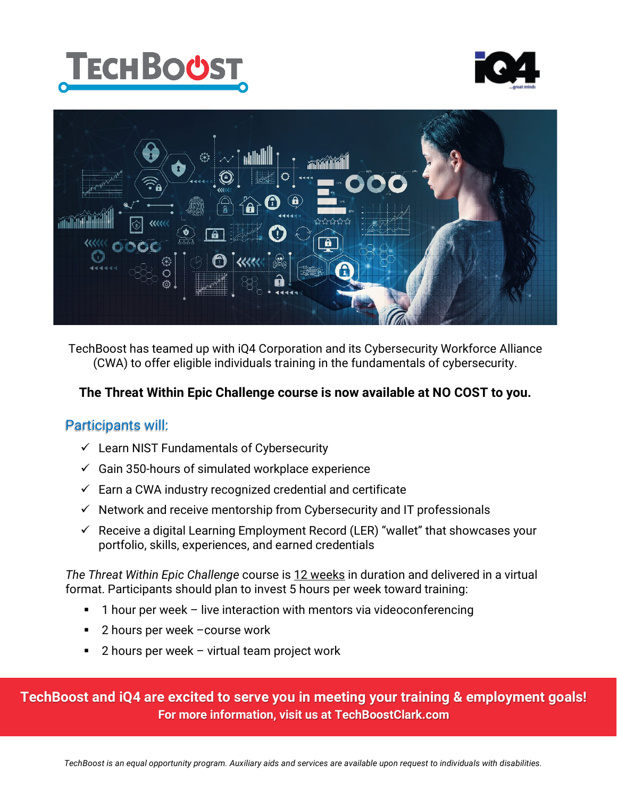





TechBoost has teamed up with iQ4 Corporation and its Cybersecurity Workforce Alliance (CWA) to offer eligible individuals training in the fundamentals of cybersecurity.

#### **The Threat Within Epic Challenge course is now available at NO COST to you.**

#### Participants will:

- $\checkmark$  Learn NIST Fundamentals of Cybersecurity
- $\checkmark$  Gain 350-hours of simulated workplace experience
- $\checkmark$  Earn a CWA industry recognized credential and certificate
- $\checkmark$  Network and receive mentorship from Cybersecurity and IT professionals
- $\checkmark$  Receive a digital Learning Employment Record (LER) "wallet" that showcases your portfolio, skills, experiences, and earned credentials

*The Threat Within Epic Challenge* course is 12 weeks in duration and delivered in a virtual format. Participants should plan to invest 5 hours per week toward training:

- 1 hour per week live interaction with mentors via videoconferencing
- 2 hours per week –course work
- 2 hours per week virtual team project work

**TechBoost and iQ4 are excited to serve you in meeting your training & employment goals! For more information, visit us at TechBoostClark.com**